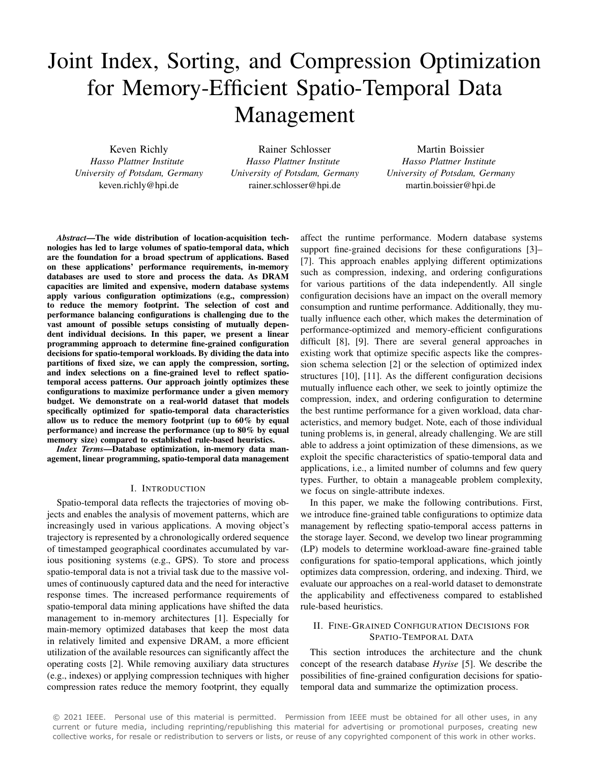# Joint Index, Sorting, and Compression Optimization for Memory-Efficient Spatio-Temporal Data Management

Keven Richly *Hasso Plattner Institute University of Potsdam, Germany* keven.richly@hpi.de

Rainer Schlosser *Hasso Plattner Institute University of Potsdam, Germany* rainer.schlosser@hpi.de

Martin Boissier *Hasso Plattner Institute University of Potsdam, Germany* martin.boissier@hpi.de

*Abstract*—The wide distribution of location-acquisition technologies has led to large volumes of spatio-temporal data, which are the foundation for a broad spectrum of applications. Based on these applications' performance requirements, in-memory databases are used to store and process the data. As DRAM capacities are limited and expensive, modern database systems apply various configuration optimizations (e.g., compression) to reduce the memory footprint. The selection of cost and performance balancing configurations is challenging due to the vast amount of possible setups consisting of mutually dependent individual decisions. In this paper, we present a linear programming approach to determine fine-grained configuration decisions for spatio-temporal workloads. By dividing the data into partitions of fixed size, we can apply the compression, sorting, and index selections on a fine-grained level to reflect spatiotemporal access patterns. Our approach jointly optimizes these configurations to maximize performance under a given memory budget. We demonstrate on a real-world dataset that models specifically optimized for spatio-temporal data characteristics allow us to reduce the memory footprint (up to 60% by equal performance) and increase the performance (up to 80% by equal memory size) compared to established rule-based heuristics.

*Index Terms*—Database optimization, in-memory data management, linear programming, spatio-temporal data management

#### I. INTRODUCTION

Spatio-temporal data reflects the trajectories of moving objects and enables the analysis of movement patterns, which are increasingly used in various applications. A moving object's trajectory is represented by a chronologically ordered sequence of timestamped geographical coordinates accumulated by various positioning systems (e.g., GPS). To store and process spatio-temporal data is not a trivial task due to the massive volumes of continuously captured data and the need for interactive response times. The increased performance requirements of spatio-temporal data mining applications have shifted the data management to in-memory architectures [1]. Especially for main-memory optimized databases that keep the most data in relatively limited and expensive DRAM, a more efficient utilization of the available resources can significantly affect the operating costs [2]. While removing auxiliary data structures (e.g., indexes) or applying compression techniques with higher compression rates reduce the memory footprint, they equally

affect the runtime performance. Modern database systems support fine-grained decisions for these configurations [3]– [7]. This approach enables applying different optimizations such as compression, indexing, and ordering configurations for various partitions of the data independently. All single configuration decisions have an impact on the overall memory consumption and runtime performance. Additionally, they mutually influence each other, which makes the determination of performance-optimized and memory-efficient configurations difficult [8], [9]. There are several general approaches in existing work that optimize specific aspects like the compression schema selection [2] or the selection of optimized index structures [10], [11]. As the different configuration decisions mutually influence each other, we seek to jointly optimize the compression, index, and ordering configuration to determine the best runtime performance for a given workload, data characteristics, and memory budget. Note, each of those individual tuning problems is, in general, already challenging. We are still able to address a joint optimization of these dimensions, as we exploit the specific characteristics of spatio-temporal data and applications, i.e., a limited number of columns and few query types. Further, to obtain a manageable problem complexity, we focus on single-attribute indexes.

In this paper, we make the following contributions. First, we introduce fine-grained table configurations to optimize data management by reflecting spatio-temporal access patterns in the storage layer. Second, we develop two linear programming (LP) models to determine workload-aware fine-grained table configurations for spatio-temporal applications, which jointly optimizes data compression, ordering, and indexing. Third, we evaluate our approaches on a real-world dataset to demonstrate the applicability and effectiveness compared to established rule-based heuristics.

# II. FINE-GRAINED CONFIGURATION DECISIONS FOR SPATIO-TEMPORAL DATA

This section introduces the architecture and the chunk concept of the research database *Hyrise* [5]. We describe the possibilities of fine-grained configuration decisions for spatiotemporal data and summarize the optimization process.

© 2021 IEEE. Personal use of this material is permitted. Permission from IEEE must be obtained for all other uses, in any current or future media, including reprinting/republishing this material for advertising or promotional purposes, creating new collective works, for resale or redistribution to servers or lists, or reuse of any copyrighted component of this work in other works.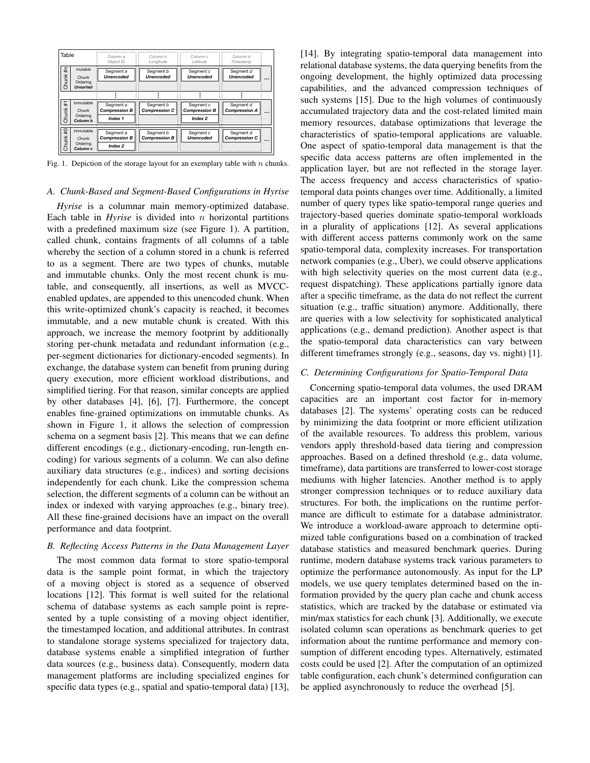| Table       |                                                       | Column a<br>Object ID                        | Column b<br>Lonaitude             | Column c<br>Latitude                         | Column d<br>Timestamp                         |
|-------------|-------------------------------------------------------|----------------------------------------------|-----------------------------------|----------------------------------------------|-----------------------------------------------|
| #n<br>Chunk | mutable<br>Chunk<br>Ordering<br><b>Unsorted</b>       | Segment a<br><b>Unencoded</b>                | Segment b<br><b>Unencoded</b>     | Segment c<br><b>Unencoded</b>                | Segment d<br><b>Unencoded</b><br>             |
|             |                                                       |                                              |                                   |                                              |                                               |
| Ŧ<br>Chunk  | immutable<br>Chunk<br>Ordering<br>Column b            | Segment a<br><b>Compression B</b><br>Index 1 | Segment b<br><b>Compression C</b> | Segment c<br><b>Compression B</b><br>Index 2 | Segment d<br><b>Compression A</b><br>$\cdots$ |
| e#<br>Chunk | immutable<br>Chunk<br>Ordering<br>Column <sub>c</sub> | Segment a<br><b>Compression B</b><br>Index 2 | Segment b<br><b>Compression B</b> | Segment c<br><b>Unencoded</b>                | Segment d<br><b>Compression C</b><br>$\cdots$ |

Fig. 1. Depiction of the storage layout for an exemplary table with  $n$  chunks.

#### *A. Chunk-Based and Segment-Based Configurations in Hyrise*

*Hyrise* is a columnar main memory-optimized database. Each table in  $Hyrise$  is divided into  $n$  horizontal partitions with a predefined maximum size (see Figure 1). A partition, called chunk, contains fragments of all columns of a table whereby the section of a column stored in a chunk is referred to as a segment. There are two types of chunks, mutable and immutable chunks. Only the most recent chunk is mutable, and consequently, all insertions, as well as MVCCenabled updates, are appended to this unencoded chunk. When this write-optimized chunk's capacity is reached, it becomes immutable, and a new mutable chunk is created. With this approach, we increase the memory footprint by additionally storing per-chunk metadata and redundant information (e.g., per-segment dictionaries for dictionary-encoded segments). In exchange, the database system can benefit from pruning during query execution, more efficient workload distributions, and simplified tiering. For that reason, similar concepts are applied by other databases [4], [6], [7]. Furthermore, the concept enables fine-grained optimizations on immutable chunks. As shown in Figure 1, it allows the selection of compression schema on a segment basis [2]. This means that we can define different encodings (e.g., dictionary-encoding, run-length encoding) for various segments of a column. We can also define auxiliary data structures (e.g., indices) and sorting decisions independently for each chunk. Like the compression schema selection, the different segments of a column can be without an index or indexed with varying approaches (e.g., binary tree). All these fine-grained decisions have an impact on the overall performance and data footprint.

#### *B. Reflecting Access Patterns in the Data Management Layer*

The most common data format to store spatio-temporal data is the sample point format, in which the trajectory of a moving object is stored as a sequence of observed locations [12]. This format is well suited for the relational schema of database systems as each sample point is represented by a tuple consisting of a moving object identifier, the timestamped location, and additional attributes. In contrast to standalone storage systems specialized for trajectory data, database systems enable a simplified integration of further data sources (e.g., business data). Consequently, modern data management platforms are including specialized engines for specific data types (e.g., spatial and spatio-temporal data) [13], [14]. By integrating spatio-temporal data management into relational database systems, the data querying benefits from the ongoing development, the highly optimized data processing capabilities, and the advanced compression techniques of such systems [15]. Due to the high volumes of continuously accumulated trajectory data and the cost-related limited main memory resources, database optimizations that leverage the characteristics of spatio-temporal applications are valuable. One aspect of spatio-temporal data management is that the specific data access patterns are often implemented in the application layer, but are not reflected in the storage layer. The access frequency and access characteristics of spatiotemporal data points changes over time. Additionally, a limited number of query types like spatio-temporal range queries and trajectory-based queries dominate spatio-temporal workloads in a plurality of applications [12]. As several applications with different access patterns commonly work on the same spatio-temporal data, complexity increases. For transportation network companies (e.g., Uber), we could observe applications with high selectivity queries on the most current data (e.g., request dispatching). These applications partially ignore data after a specific timeframe, as the data do not reflect the current situation (e.g., traffic situation) anymore. Additionally, there are queries with a low selectivity for sophisticated analytical applications (e.g., demand prediction). Another aspect is that the spatio-temporal data characteristics can vary between different timeframes strongly (e.g., seasons, day vs. night) [1].

#### *C. Determining Configurations for Spatio-Temporal Data*

Concerning spatio-temporal data volumes, the used DRAM capacities are an important cost factor for in-memory databases [2]. The systems' operating costs can be reduced by minimizing the data footprint or more efficient utilization of the available resources. To address this problem, various vendors apply threshold-based data tiering and compression approaches. Based on a defined threshold (e.g., data volume, timeframe), data partitions are transferred to lower-cost storage mediums with higher latencies. Another method is to apply stronger compression techniques or to reduce auxiliary data structures. For both, the implications on the runtime performance are difficult to estimate for a database administrator. We introduce a workload-aware approach to determine optimized table configurations based on a combination of tracked database statistics and measured benchmark queries. During runtime, modern database systems track various parameters to optimize the performance autonomously. As input for the LP models, we use query templates determined based on the information provided by the query plan cache and chunk access statistics, which are tracked by the database or estimated via min/max statistics for each chunk [3]. Additionally, we execute isolated column scan operations as benchmark queries to get information about the runtime performance and memory consumption of different encoding types. Alternatively, estimated costs could be used [2]. After the computation of an optimized table configuration, each chunk's determined configuration can be applied asynchronously to reduce the overhead [5].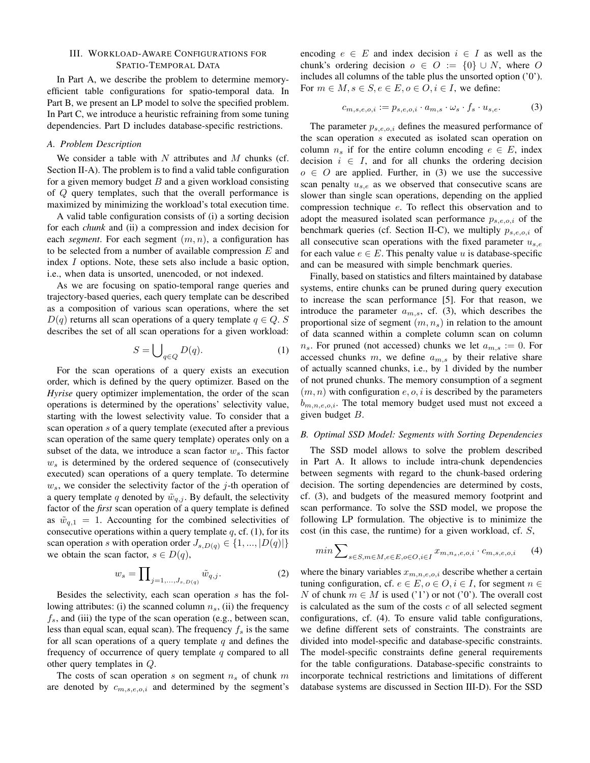#### III. WORKLOAD-AWARE CONFIGURATIONS FOR SPATIO-TEMPORAL DATA

In Part A, we describe the problem to determine memoryefficient table configurations for spatio-temporal data. In Part B, we present an LP model to solve the specified problem. In Part C, we introduce a heuristic refraining from some tuning dependencies. Part D includes database-specific restrictions.

#### *A. Problem Description*

We consider a table with  $N$  attributes and  $M$  chunks (cf. Section II-A). The problem is to find a valid table configuration for a given memory budget  $B$  and a given workload consisting of Q query templates, such that the overall performance is maximized by minimizing the workload's total execution time.

A valid table configuration consists of (i) a sorting decision for each *chunk* and (ii) a compression and index decision for each *segment*. For each segment  $(m, n)$ , a configuration has to be selected from a number of available compression  $E$  and index I options. Note, these sets also include a basic option, i.e., when data is unsorted, unencoded, or not indexed.

As we are focusing on spatio-temporal range queries and trajectory-based queries, each query template can be described as a composition of various scan operations, where the set  $D(q)$  returns all scan operations of a query template  $q \in Q$ . S describes the set of all scan operations for a given workload:

$$
S = \bigcup_{q \in Q} D(q). \tag{1}
$$

For the scan operations of a query exists an execution order, which is defined by the query optimizer. Based on the *Hyrise* query optimizer implementation, the order of the scan operations is determined by the operations' selectivity value, starting with the lowest selectivity value. To consider that a scan operation s of a query template (executed after a previous scan operation of the same query template) operates only on a subset of the data, we introduce a scan factor  $w_s$ . This factor  $w<sub>s</sub>$  is determined by the ordered sequence of (consecutively executed) scan operations of a query template. To determine  $w<sub>s</sub>$ , we consider the selectivity factor of the j-th operation of a query template q denoted by  $\tilde{w}_{q,j}$ . By default, the selectivity factor of the *first* scan operation of a query template is defined as  $\tilde{w}_{q,1} = 1$ . Accounting for the combined selectivities of consecutive operations within a query template  $q$ , cf. (1), for its scan operation s with operation order  $J_{s,D(q)} \in \{1, ..., |D(q)|\}$ we obtain the scan factor,  $s \in D(q)$ ,

$$
w_s = \prod\n\int_{j=1,\dots,J_{s,D(q)}} \tilde{w}_{q,j}.
$$
\n(2)

Besides the selectivity, each scan operation s has the following attributes: (i) the scanned column  $n<sub>s</sub>$ , (ii) the frequency  $f_s$ , and (iii) the type of the scan operation (e.g., between scan, less than equal scan, equal scan). The frequency  $f_s$  is the same for all scan operations of a query template  $q$  and defines the frequency of occurrence of query template  $q$  compared to all other query templates in Q.

The costs of scan operation s on segment  $n<sub>s</sub>$  of chunk m are denoted by  $c_{m,s,e,o,i}$  and determined by the segment's encoding  $e \in E$  and index decision  $i \in I$  as well as the chunk's ordering decision  $o \in O := \{0\} \cup N$ , where O includes all columns of the table plus the unsorted option ('0'). For  $m \in M$ ,  $s \in S$ ,  $e \in E$ ,  $o \in O$ ,  $i \in I$ , we define:

$$
c_{m,s,e,o,i} := p_{s,e,o,i} \cdot a_{m,s} \cdot \omega_s \cdot f_s \cdot u_{s,e}. \tag{3}
$$

The parameter  $p_{s,e,o,i}$  defines the measured performance of the scan operation s executed as isolated scan operation on column  $n_s$  if for the entire column encoding  $e \in E$ , index decision  $i \in I$ , and for all chunks the ordering decision  $o \in O$  are applied. Further, in (3) we use the successive scan penalty  $u_{s,e}$  as we observed that consecutive scans are slower than single scan operations, depending on the applied compression technique e. To reflect this observation and to adopt the measured isolated scan performance  $p_{s,e,o,i}$  of the benchmark queries (cf. Section II-C), we multiply  $p_{s,e,o,i}$  of all consecutive scan operations with the fixed parameter  $u_{s,e}$ for each value  $e \in E$ . This penalty value u is database-specific and can be measured with simple benchmark queries.

Finally, based on statistics and filters maintained by database systems, entire chunks can be pruned during query execution to increase the scan performance [5]. For that reason, we introduce the parameter  $a_{m,s}$ , cf. (3), which describes the proportional size of segment  $(m, n_s)$  in relation to the amount of data scanned within a complete column scan on column  $n_s$ . For pruned (not accessed) chunks we let  $a_{m,s} := 0$ . For accessed chunks m, we define  $a_{m,s}$  by their relative share of actually scanned chunks, i.e., by 1 divided by the number of not pruned chunks. The memory consumption of a segment  $(m, n)$  with configuration  $e, o, i$  is described by the parameters  $b_{m,n,e,o,i}$ . The total memory budget used must not exceed a given budget B.

## *B. Optimal SSD Model: Segments with Sorting Dependencies*

The SSD model allows to solve the problem described in Part A. It allows to include intra-chunk dependencies between segments with regard to the chunk-based ordering decision. The sorting dependencies are determined by costs, cf. (3), and budgets of the measured memory footprint and scan performance. To solve the SSD model, we propose the following LP formulation. The objective is to minimize the cost (in this case, the runtime) for a given workload, cf. S,

$$
\min \sum_{s \in S, m \in M, e \in E, o \in O, i \in I} x_{m, n_s, e, o, i} \cdot c_{m, s, e, o, i} \tag{4}
$$

where the binary variables  $x_{m,n,e,o,i}$  describe whether a certain tuning configuration, cf.  $e \in E$ ,  $o \in O$ ,  $i \in I$ , for segment  $n \in$ N of chunk  $m \in M$  is used ('1') or not ('0'). The overall cost is calculated as the sum of the costs  $c$  of all selected segment configurations, cf. (4). To ensure valid table configurations, we define different sets of constraints. The constraints are divided into model-specific and database-specific constraints. The model-specific constraints define general requirements for the table configurations. Database-specific constraints to incorporate technical restrictions and limitations of different database systems are discussed in Section III-D). For the SSD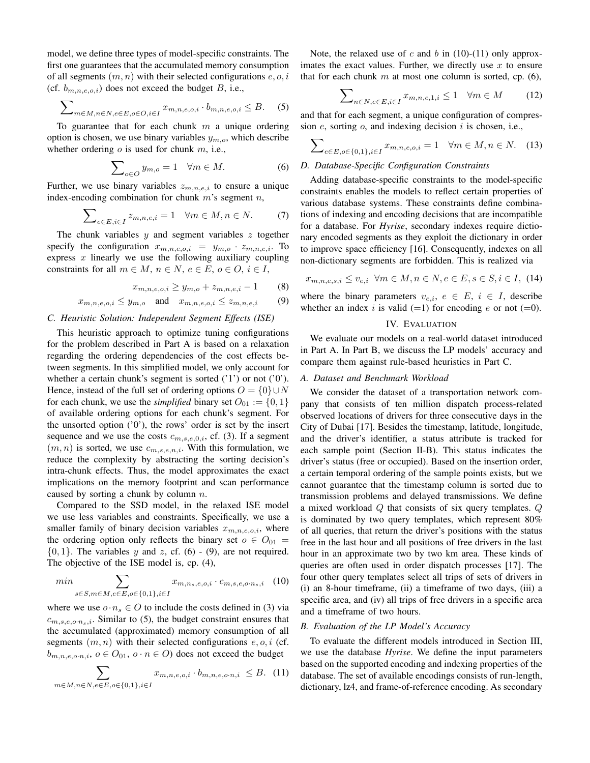model, we define three types of model-specific constraints. The first one guarantees that the accumulated memory consumption of all segments  $(m, n)$  with their selected configurations  $e, o, i$ (cf.  $b_{m,n,e,o,i}$ ) does not exceed the budget B, i.e.,

$$
\sum\nolimits_{m \in M, n \in N, e \in E, o \in O, i \in I} x_{m, n, e, o, i} \cdot b_{m, n, e, o, i} \le B.
$$
 (5)

To guarantee that for each chunk  $m$  a unique ordering option is chosen, we use binary variables  $y_{m,o}$ , which describe whether ordering  $o$  is used for chunk  $m$ , i.e.,

$$
\sum_{o \in O} y_{m,o} = 1 \quad \forall m \in M. \tag{6}
$$

Further, we use binary variables  $z_{m,n,e,i}$  to ensure a unique index-encoding combination for chunk  $m$ 's segment  $n$ ,

$$
\sum_{e \in E, i \in I} z_{m, n, e, i} = 1 \quad \forall m \in M, n \in N. \tag{7}
$$

The chunk variables  $y$  and segment variables  $z$  together specify the configuration  $x_{m,n,e,o,i} = y_{m,o} \cdot z_{m,n,e,i}$ . To express  $x$  linearly we use the following auxiliary coupling constraints for all  $m \in M$ ,  $n \in N$ ,  $e \in E$ ,  $o \in O$ ,  $i \in I$ ,

$$
x_{m,n,e,o,i} \ge y_{m,o} + z_{m,n,e,i} - 1 \tag{8}
$$

$$
x_{m,n,e,o,i} \le y_{m,o} \quad \text{and} \quad x_{m,n,e,o,i} \le z_{m,n,e,i} \tag{9}
$$

#### *C. Heuristic Solution: Independent Segment Effects (ISE)*

This heuristic approach to optimize tuning configurations for the problem described in Part A is based on a relaxation regarding the ordering dependencies of the cost effects between segments. In this simplified model, we only account for whether a certain chunk's segment is sorted ('1') or not ('0'). Hence, instead of the full set of ordering options  $O = \{0\} \cup N$ for each chunk, we use the *simplified* binary set  $O_{01} := \{0, 1\}$ of available ordering options for each chunk's segment. For the unsorted option  $('0')$ , the rows' order is set by the insert sequence and we use the costs  $c_{m,s,e,0,i}$ , cf. (3). If a segment  $(m, n)$  is sorted, we use  $c_{m,s,e,n,i}$ . With this formulation, we reduce the complexity by abstracting the sorting decision's intra-chunk effects. Thus, the model approximates the exact implications on the memory footprint and scan performance caused by sorting a chunk by column  $n$ .

Compared to the SSD model, in the relaxed ISE model we use less variables and constraints. Specifically, we use a smaller family of binary decision variables  $x_{m,n,e,o,i}$ , where the ordering option only reflects the binary set  $o \in O_{01}$  =  $\{0, 1\}$ . The variables y and z, cf. (6) - (9), are not required. The objective of the ISE model is, cp. (4),

$$
min \sum_{s \in S, m \in M, e \in E, o \in \{0, 1\}, i \in I} x_{m, n_s, e, o, i} \cdot c_{m, s, e, o \cdot n_s, i} \quad (10)
$$

where we use  $o \cdot n_s \in O$  to include the costs defined in (3) via  $c_{m,s,e,o \cdot n_s,i}$ . Similar to (5), the budget constraint ensures that the accumulated (approximated) memory consumption of all segments  $(m, n)$  with their selected configurations  $e, o, i$  (cf.  $b_{m,n,e,o\cdot n,i}$ ,  $o \in O_{01}$ ,  $o \cdot n \in O$ ) does not exceed the budget

$$
\sum_{m \in M, n \in N, e \in E, o \in \{0, 1\}, i \in I} x_{m, n, e, o, i} \cdot b_{m, n, e, o \cdot n, i} \leq B. (11)
$$

Note, the relaxed use of c and b in  $(10)-(11)$  only approximates the exact values. Further, we directly use  $x$  to ensure that for each chunk m at most one column is sorted, cp.  $(6)$ ,

$$
\sum_{n \in N, e \in E, i \in I} x_{m, n, e, 1, i} \le 1 \quad \forall m \in M \tag{12}
$$

and that for each segment, a unique configuration of compression  $e$ , sorting  $o$ , and indexing decision  $i$  is chosen, i.e.,

$$
\sum_{e \in E, o \in \{0, 1\}, i \in I} x_{m, n, e, o, i} = 1 \quad \forall m \in M, n \in N. \tag{13}
$$

# *D. Database-Specific Configuration Constraints*

Adding database-specific constraints to the model-specific constraints enables the models to reflect certain properties of various database systems. These constraints define combinations of indexing and encoding decisions that are incompatible for a database. For *Hyrise*, secondary indexes require dictionary encoded segments as they exploit the dictionary in order to improve space efficiency [16]. Consequently, indexes on all non-dictionary segments are forbidden. This is realized via

$$
x_{m,n,e,s,i} \leq v_{e,i} \ \forall m \in M, n \in N, e \in E, s \in S, i \in I, (14)
$$

where the binary parameters  $v_{e,i}$ ,  $e \in E$ ,  $i \in I$ , describe whether an index i is valid  $(=1)$  for encoding e or not  $(=0)$ .

#### IV. EVALUATION

We evaluate our models on a real-world dataset introduced in Part A. In Part B, we discuss the LP models' accuracy and compare them against rule-based heuristics in Part C.

#### *A. Dataset and Benchmark Workload*

We consider the dataset of a transportation network company that consists of ten million dispatch process-related observed locations of drivers for three consecutive days in the City of Dubai [17]. Besides the timestamp, latitude, longitude, and the driver's identifier, a status attribute is tracked for each sample point (Section II-B). This status indicates the driver's status (free or occupied). Based on the insertion order, a certain temporal ordering of the sample points exists, but we cannot guarantee that the timestamp column is sorted due to transmission problems and delayed transmissions. We define a mixed workload Q that consists of six query templates. Q is dominated by two query templates, which represent 80% of all queries, that return the driver's positions with the status free in the last hour and all positions of free drivers in the last hour in an approximate two by two km area. These kinds of queries are often used in order dispatch processes [17]. The four other query templates select all trips of sets of drivers in (i) an 8-hour timeframe, (ii) a timeframe of two days, (iii) a specific area, and (iv) all trips of free drivers in a specific area and a timeframe of two hours.

#### *B. Evaluation of the LP Model's Accuracy*

To evaluate the different models introduced in Section III, we use the database *Hyrise*. We define the input parameters based on the supported encoding and indexing properties of the database. The set of available encodings consists of run-length, dictionary, lz4, and frame-of-reference encoding. As secondary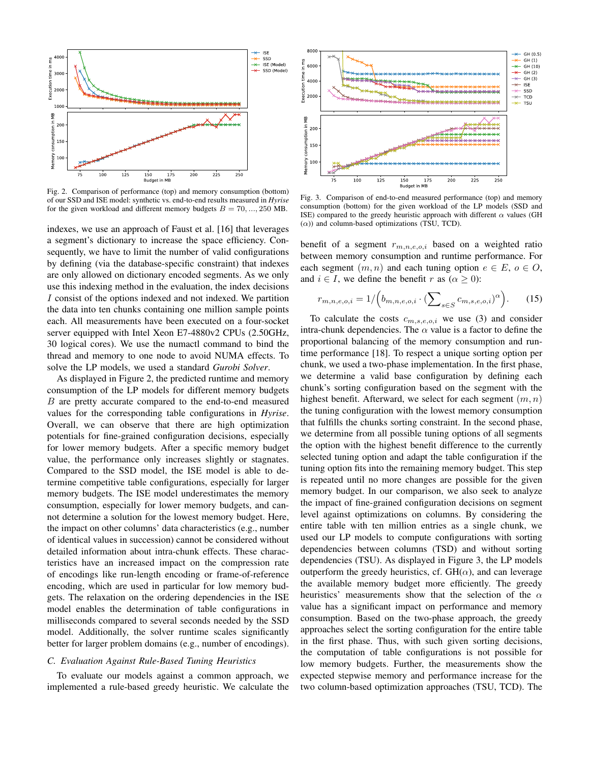

Fig. 2. Comparison of performance (top) and memory consumption (bottom) of our SSD and ISE model: synthetic vs. end-to-end results measured in *Hyrise* for the given workload and different memory budgets  $B = 70, ..., 250$  MB.

indexes, we use an approach of Faust et al. [16] that leverages a segment's dictionary to increase the space efficiency. Consequently, we have to limit the number of valid configurations by defining (via the database-specific constraint) that indexes are only allowed on dictionary encoded segments. As we only use this indexing method in the evaluation, the index decisions I consist of the options indexed and not indexed. We partition the data into ten chunks containing one million sample points each. All measurements have been executed on a four-socket server equipped with Intel Xeon E7-4880v2 CPUs (2.50GHz, 30 logical cores). We use the numactl command to bind the thread and memory to one node to avoid NUMA effects. To solve the LP models, we used a standard *Gurobi Solver*.

As displayed in Figure 2, the predicted runtime and memory consumption of the LP models for different memory budgets B are pretty accurate compared to the end-to-end measured values for the corresponding table configurations in *Hyrise*. Overall, we can observe that there are high optimization potentials for fine-grained configuration decisions, especially for lower memory budgets. After a specific memory budget value, the performance only increases slightly or stagnates. Compared to the SSD model, the ISE model is able to determine competitive table configurations, especially for larger memory budgets. The ISE model underestimates the memory consumption, especially for lower memory budgets, and cannot determine a solution for the lowest memory budget. Here, the impact on other columns' data characteristics (e.g., number of identical values in succession) cannot be considered without detailed information about intra-chunk effects. These characteristics have an increased impact on the compression rate of encodings like run-length encoding or frame-of-reference encoding, which are used in particular for low memory budgets. The relaxation on the ordering dependencies in the ISE model enables the determination of table configurations in milliseconds compared to several seconds needed by the SSD model. Additionally, the solver runtime scales significantly better for larger problem domains (e.g., number of encodings).

# *C. Evaluation Against Rule-Based Tuning Heuristics*

To evaluate our models against a common approach, we implemented a rule-based greedy heuristic. We calculate the



Fig. 3. Comparison of end-to-end measured performance (top) and memory consumption (bottom) for the given workload of the LP models (SSD and ISE) compared to the greedy heuristic approach with different  $\alpha$  values (GH  $(\alpha)$ ) and column-based optimizations (TSU, TCD).

benefit of a segment  $r_{m,n,e,o,i}$  based on a weighted ratio between memory consumption and runtime performance. For each segment  $(m, n)$  and each tuning option  $e \in E$ ,  $o \in O$ , and  $i \in I$ , we define the benefit r as  $(\alpha \geq 0)$ :

$$
r_{m,n,e,o,i} = 1/\left(b_{m,n,e,o,i} \cdot (\sum_{s \in S} c_{m,s,e,o,i})^{\alpha}\right).
$$
 (15)

To calculate the costs  $c_{m,s,e,o,i}$  we use (3) and consider intra-chunk dependencies. The  $\alpha$  value is a factor to define the proportional balancing of the memory consumption and runtime performance [18]. To respect a unique sorting option per chunk, we used a two-phase implementation. In the first phase, we determine a valid base configuration by defining each chunk's sorting configuration based on the segment with the highest benefit. Afterward, we select for each segment  $(m, n)$ the tuning configuration with the lowest memory consumption that fulfills the chunks sorting constraint. In the second phase, we determine from all possible tuning options of all segments the option with the highest benefit difference to the currently selected tuning option and adapt the table configuration if the tuning option fits into the remaining memory budget. This step is repeated until no more changes are possible for the given memory budget. In our comparison, we also seek to analyze the impact of fine-grained configuration decisions on segment level against optimizations on columns. By considering the entire table with ten million entries as a single chunk, we used our LP models to compute configurations with sorting dependencies between columns (TSD) and without sorting dependencies (TSU). As displayed in Figure 3, the LP models outperform the greedy heuristics, cf.  $GH(\alpha)$ , and can leverage the available memory budget more efficiently. The greedy heuristics' measurements show that the selection of the  $\alpha$ value has a significant impact on performance and memory consumption. Based on the two-phase approach, the greedy approaches select the sorting configuration for the entire table in the first phase. Thus, with such given sorting decisions, the computation of table configurations is not possible for low memory budgets. Further, the measurements show the expected stepwise memory and performance increase for the two column-based optimization approaches (TSU, TCD). The